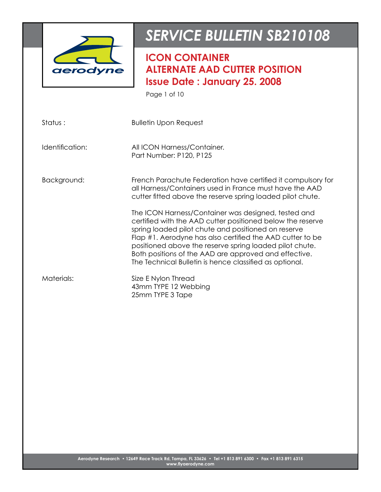

**ICON CONTAINER ALTERNATE AAD CUTTER POSITION Issue Date : January 25. 2008**

Page 1 of 10

| Status:         | <b>Bulletin Upon Request</b>                                                                                                                                                                                                                                                                                                                                                                                         |
|-----------------|----------------------------------------------------------------------------------------------------------------------------------------------------------------------------------------------------------------------------------------------------------------------------------------------------------------------------------------------------------------------------------------------------------------------|
| Identification: | All ICON Harness/Container.<br>Part Number: P120, P125                                                                                                                                                                                                                                                                                                                                                               |
| Background:     | French Parachute Federation have certified it compulsory for<br>all Harness/Containers used in France must have the AAD<br>cutter fitted above the reserve spring loaded pilot chute.                                                                                                                                                                                                                                |
|                 | The ICON Harness/Container was designed, tested and<br>certified with the AAD cutter positioned below the reserve<br>spring loaded pilot chute and positioned on reserve<br>Flap #1. Aerodyne has also certified the AAD cutter to be<br>positioned above the reserve spring loaded pilot chute.<br>Both positions of the AAD are approved and effective.<br>The Technical Bulletin is hence classified as optional. |
| Materials:      | Size E Nylon Thread<br>43mm TYPE 12 Webbing<br>25mm TYPE 3 Tape                                                                                                                                                                                                                                                                                                                                                      |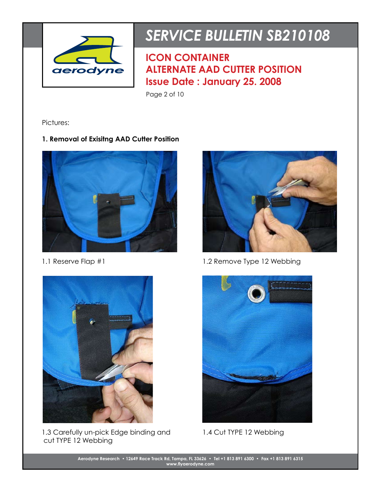

**ICON CONTAINER ALTERNATE AAD CUTTER POSITION Issue Date : January 25. 2008**

Page 2 of 10

Pictures:

## **1. Removal of Exisitng AAD Cutter Position**





1.1 Reserve Flap #1 1.2 Remove Type 12 Webbing



1.3 Carefully un-pick Edge binding and cut TYPE 12 Webbing



1.4 Cut TYPE 12 Webbing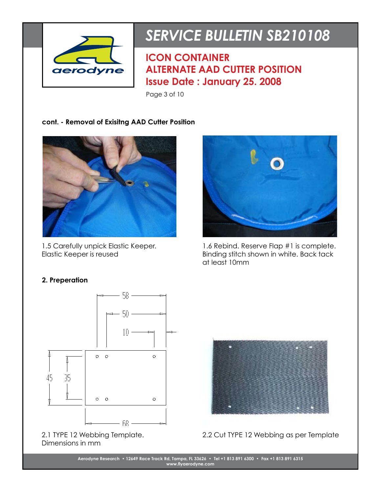

**ICON CONTAINER ALTERNATE AAD CUTTER POSITION Issue Date : January 25. 2008**

Page 3 of 10

### **cont. - Removal of Exisitng AAD Cutter Position**



1.5 Carefully unpick Elastic Keeper. Elastic Keeper is reused



1.6 Rebind. Reserve Flap #1 is complete. Binding stitch shown in white. Back tack at least 10mm

### **2. Preperation**



2.1 TYPE 12 Webbing Template. Dimensions in mm



2.2 Cut TYPE 12 Webbing as per Template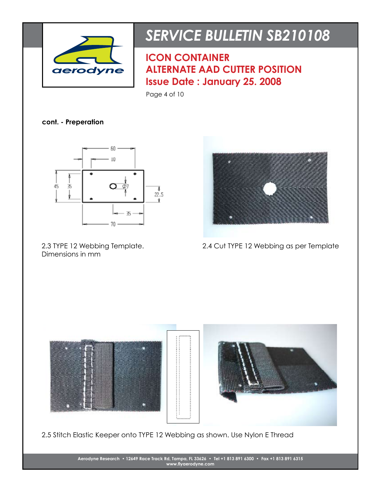

**ICON CONTAINER ALTERNATE AAD CUTTER POSITION Issue Date : January 25. 2008**

Page 4 of 10

**cont. - Preperation**



2.3 TYPE 12 Webbing Template. Dimensions in mm



2.4 Cut TYPE 12 Webbing as per Template



2.5 Stitch Elastic Keeper onto TYPE 12 Webbing as shown. Use Nylon E Thread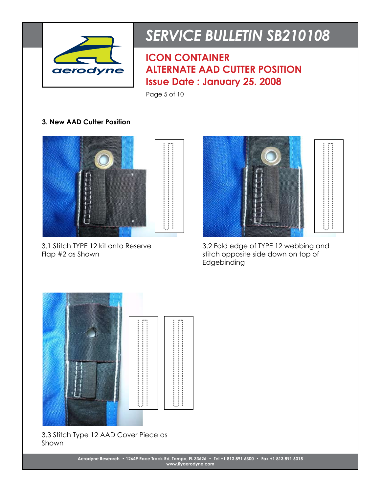

**ICON CONTAINER ALTERNATE AAD CUTTER POSITION Issue Date : January 25. 2008**

Page 5 of 10

### **3. New AAD Cutter Position**



3.1 Stitch TYPE 12 kit onto Reserve Flap #2 as Shown



3.2 Fold edge of TYPE 12 webbing and stitch opposite side down on top of Edgebinding



#### 3.3 Stitch Type 12 AAD Cover Piece as Shown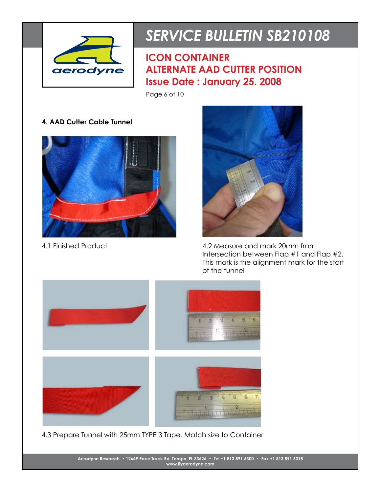

**ICON CONTAINER ALTERNATE AAD CUTTER POSITION Issue Date : January 25. 2008**

Page 6 of 10

### **4. AAD Cutter Cable Tunnel**





4.1 Finished Product 4.2 Measure and mark 20mm from Intersection between Flap #1 and Flap #2. This mark is the alignment mark for the start of the tunnel



4.3 Prepare Tunnel with 25mm TYPE 3 Tape. Match size to Container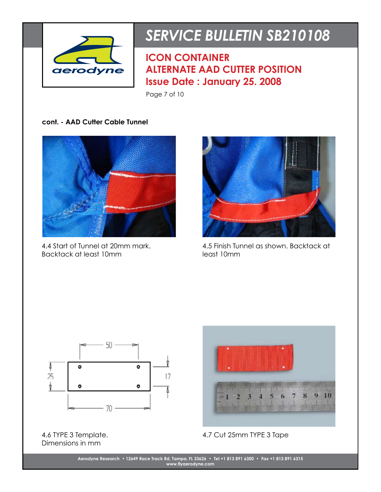

**ICON CONTAINER ALTERNATE AAD CUTTER POSITION Issue Date : January 25. 2008**

Page 7 of 10

**cont. - AAD Cutter Cable Tunnel**



4.4 Start of Tunnel at 20mm mark. Backtack at least 10mm



4.5 Finish Tunnel as shown. Backtack at least 10mm



4.6 TYPE 3 Template. Dimensions in mm



4.7 Cut 25mm TYPE 3 Tape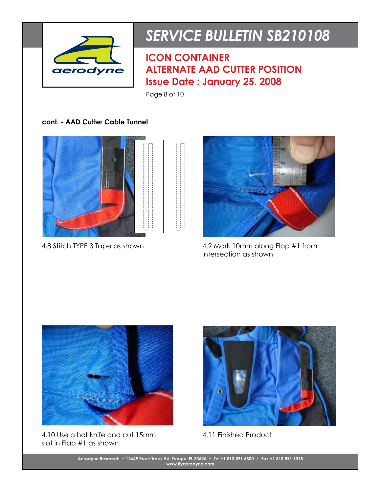

**ICON CONTAINER ALTERNATE AAD CUTTER POSITION Issue Date : January 25. 2008**

Page 8 of 10

#### **cont. - AAD Cutter Cable Tunnel**





4.8 Stitch TYPE 3 Tape as shown 4.9 Mark 10mm along Flap #1 from intersection as shown



4.10 Use a hot knife and cut 15mm slot in Flap #1 as shown



4.11 Finished Product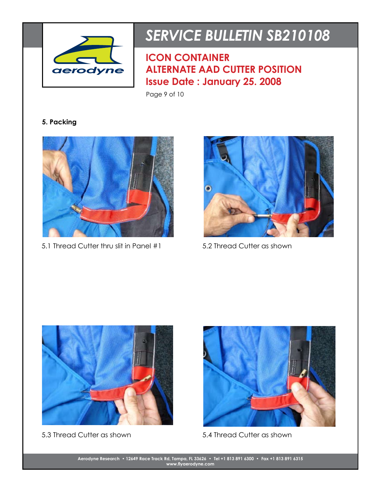

**ICON CONTAINER ALTERNATE AAD CUTTER POSITION Issue Date : January 25. 2008**

Page 9 of 10

## **5. Packing**



5.1 Thread Cutter thru slit in Panel #1 5.2 Thread Cutter as shown







5.3 Thread Cutter as shown 5.4 Thread Cutter as shown